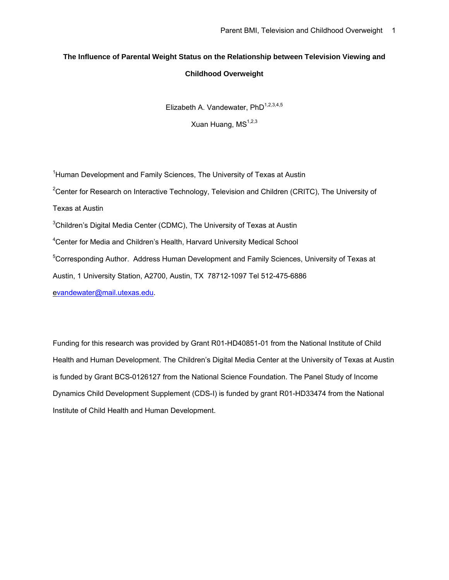# **The Influence of Parental Weight Status on the Relationship between Television Viewing and Childhood Overweight**

Elizabeth A. Vandewater, PhD<sup>1,2,3,4,5</sup>

Xuan Huang, MS<sup>1,2,3</sup>

<sup>1</sup>Human Development and Family Sciences, The University of Texas at Austin <sup>2</sup>Center for Research on Interactive Technology, Television and Children (CRITC), The University of Texas at Austin  $3$ Children's Digital Media Center (CDMC), The University of Texas at Austin <sup>4</sup>Center for Media and Children's Health, Harvard University Medical School <sup>5</sup>Corresponding Author. Address Human Development and Family Sciences, University of Texas at Austin, 1 University Station, A2700, Austin, TX 78712-1097 Tel 512-475-6886 e[vandewater@mail.utexas.edu](mailto:vandewater@mail.utexas.edu).

Funding for this research was provided by Grant R01-HD40851-01 from the National Institute of Child Health and Human Development. The Children's Digital Media Center at the University of Texas at Austin is funded by Grant BCS-0126127 from the National Science Foundation. The Panel Study of Income Dynamics Child Development Supplement (CDS-I) is funded by grant R01-HD33474 from the National Institute of Child Health and Human Development.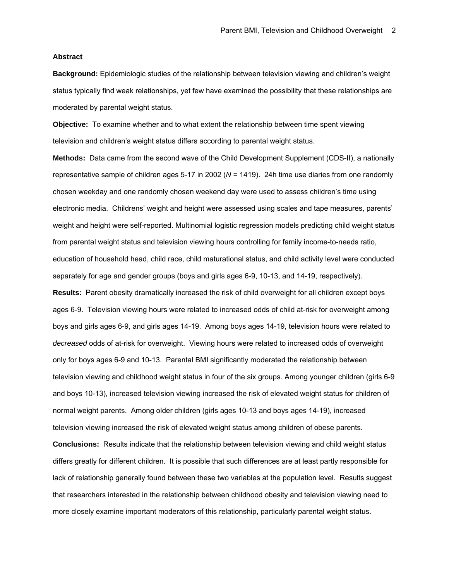### **Abstract**

**Background:** Epidemiologic studies of the relationship between television viewing and children's weight status typically find weak relationships, yet few have examined the possibility that these relationships are moderated by parental weight status.

**Objective:** To examine whether and to what extent the relationship between time spent viewing television and children's weight status differs according to parental weight status.

**Methods:** Data came from the second wave of the Child Development Supplement (CDS-II), a nationally representative sample of children ages 5-17 in 2002 (*N* = 1419). 24h time use diaries from one randomly chosen weekday and one randomly chosen weekend day were used to assess children's time using electronic media. Childrens' weight and height were assessed using scales and tape measures, parents' weight and height were self-reported. Multinomial logistic regression models predicting child weight status from parental weight status and television viewing hours controlling for family income-to-needs ratio, education of household head, child race, child maturational status, and child activity level were conducted separately for age and gender groups (boys and girls ages 6-9, 10-13, and 14-19, respectively). **Results:** Parent obesity dramatically increased the risk of child overweight for all children except boys ages 6-9. Television viewing hours were related to increased odds of child at-risk for overweight among boys and girls ages 6-9, and girls ages 14-19. Among boys ages 14-19, television hours were related to *decreased* odds of at-risk for overweight. Viewing hours were related to increased odds of overweight only for boys ages 6-9 and 10-13. Parental BMI significantly moderated the relationship between television viewing and childhood weight status in four of the six groups. Among younger children (girls 6-9 and boys 10-13), increased television viewing increased the risk of elevated weight status for children of

normal weight parents. Among older children (girls ages 10-13 and boys ages 14-19), increased television viewing increased the risk of elevated weight status among children of obese parents. **Conclusions:** Results indicate that the relationship between television viewing and child weight status differs greatly for different children. It is possible that such differences are at least partly responsible for lack of relationship generally found between these two variables at the population level. Results suggest that researchers interested in the relationship between childhood obesity and television viewing need to more closely examine important moderators of this relationship, particularly parental weight status.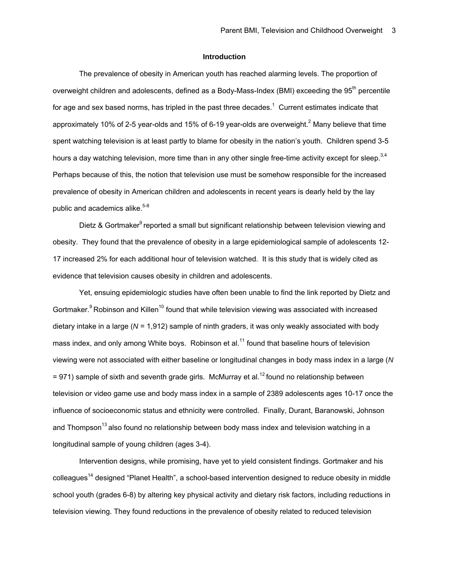# **Introduction**

 The prevalence of obesity in American youth has reached alarming levels. The proportion of overweight children and adolescents, defined as a Body-Mass-Index (BMI) exceeding the 95<sup>th</sup> percentile for age and sex based norms, has tripled in the past three decades.<sup>1</sup> Current estimates indicate that approximately 10% of 2-5 year-olds and 15% of 6-19 year-olds are overweight.<sup>2</sup> Many believe that time spent watching television is at least partly to blame for obesity in the nation's youth. Children spend 3-5 hours a day watching television, more time than in any other single free-time activity except for sleep.  $3,4$ Perhaps because of this, the notion that television use must be somehow responsible for the increased prevalence of obesity in American children and adolescents in recent years is dearly held by the lay public and academics alike.<sup>5-8</sup>

Dietz & Gortmaker<sup>9</sup> reported a small but significant relationship between television viewing and obesity. They found that the prevalence of obesity in a large epidemiological sample of adolescents 12- 17 increased 2% for each additional hour of television watched. It is this study that is widely cited as evidence that television causes obesity in children and adolescents.

 Yet, ensuing epidemiologic studies have often been unable to find the link reported by Dietz and Gortmaker. $9$  Robinson and Killen<sup>10</sup> found that while television viewing was associated with increased dietary intake in a large (*N* = 1,912) sample of ninth graders, it was only weakly associated with body mass index, and only among White boys. Robinson et al.<sup>11</sup> found that baseline hours of television viewing were not associated with either baseline or longitudinal changes in body mass index in a large (*N*  $= 971$ ) sample of sixth and seventh grade girls. McMurray et al.<sup>12</sup> found no relationship between television or video game use and body mass index in a sample of 2389 adolescents ages 10-17 once the influence of socioeconomic status and ethnicity were controlled. Finally, Durant, Baranowski, Johnson and Thompson<sup>13</sup> also found no relationship between body mass index and television watching in a longitudinal sample of young children (ages 3-4).

 Intervention designs, while promising, have yet to yield consistent findings. Gortmaker and his colleagues14 designed "Planet Health", a school-based intervention designed to reduce obesity in middle school youth (grades 6-8) by altering key physical activity and dietary risk factors, including reductions in television viewing. They found reductions in the prevalence of obesity related to reduced television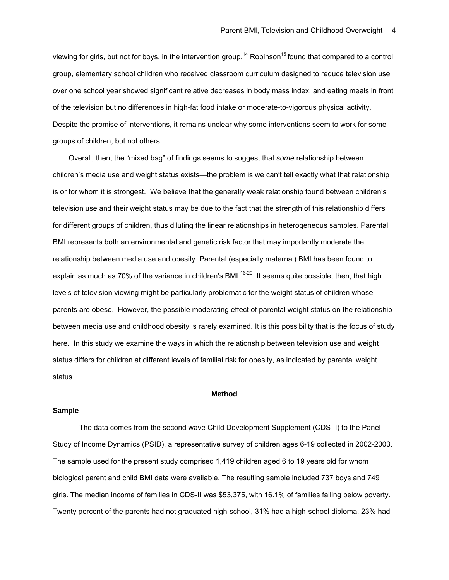viewing for girls, but not for boys, in the intervention group.<sup>14</sup> Robinson<sup>15</sup> found that compared to a control group, elementary school children who received classroom curriculum designed to reduce television use over one school year showed significant relative decreases in body mass index, and eating meals in front of the television but no differences in high-fat food intake or moderate-to-vigorous physical activity. Despite the promise of interventions, it remains unclear why some interventions seem to work for some groups of children, but not others.

Overall, then, the "mixed bag" of findings seems to suggest that *some* relationship between children's media use and weight status exists—the problem is we can't tell exactly what that relationship is or for whom it is strongest. We believe that the generally weak relationship found between children's television use and their weight status may be due to the fact that the strength of this relationship differs for different groups of children, thus diluting the linear relationships in heterogeneous samples. Parental BMI represents both an environmental and genetic risk factor that may importantly moderate the relationship between media use and obesity. Parental (especially maternal) BMI has been found to explain as much as 70% of the variance in children's BMI.<sup>16-20</sup> It seems quite possible, then, that high levels of television viewing might be particularly problematic for the weight status of children whose parents are obese. However, the possible moderating effect of parental weight status on the relationship between media use and childhood obesity is rarely examined. It is this possibility that is the focus of study here. In this study we examine the ways in which the relationship between television use and weight status differs for children at different levels of familial risk for obesity, as indicated by parental weight status.

#### **Method**

### **Sample**

 The data comes from the second wave Child Development Supplement (CDS-II) to the Panel Study of Income Dynamics (PSID), a representative survey of children ages 6-19 collected in 2002-2003. The sample used for the present study comprised 1,419 children aged 6 to 19 years old for whom biological parent and child BMI data were available. The resulting sample included 737 boys and 749 girls. The median income of families in CDS-II was \$53,375, with 16.1% of families falling below poverty. Twenty percent of the parents had not graduated high-school, 31% had a high-school diploma, 23% had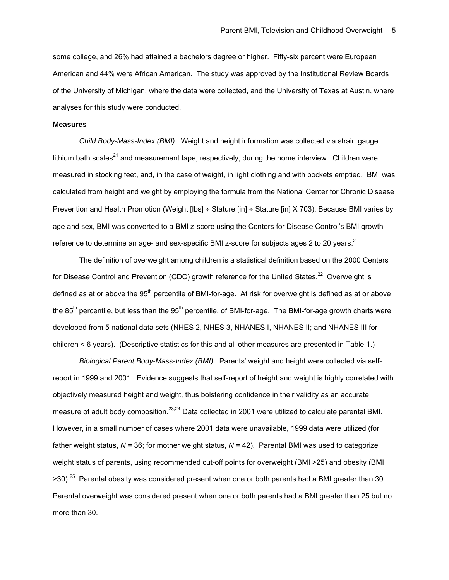some college, and 26% had attained a bachelors degree or higher. Fifty-six percent were European American and 44% were African American. The study was approved by the Institutional Review Boards of the University of Michigan, where the data were collected, and the University of Texas at Austin, where analyses for this study were conducted.

#### **Measures**

 *Child Body-Mass-Index (BMI)*. Weight and height information was collected via strain gauge lithium bath scales<sup>21</sup> and measurement tape, respectively, during the home interview. Children were measured in stocking feet, and, in the case of weight, in light clothing and with pockets emptied. BMI was calculated from height and weight by employing the formula from the National Center for Chronic Disease Prevention and Health Promotion (Weight [lbs] ÷ Stature [in] ÷ Stature [in] X 703). Because BMI varies by age and sex, BMI was converted to a BMI z-score using the Centers for Disease Control's BMI growth reference to determine an age- and sex-specific BMI z-score for subjects ages 2 to 20 years. $^2$ 

 The definition of overweight among children is a statistical definition based on the 2000 Centers for Disease Control and Prevention (CDC) growth reference for the United States.<sup>22</sup> Overweight is defined as at or above the 95<sup>th</sup> percentile of BMI-for-age. At risk for overweight is defined as at or above the  $85<sup>th</sup>$  percentile, but less than the  $95<sup>th</sup>$  percentile, of BMI-for-age. The BMI-for-age growth charts were developed from 5 national data sets (NHES 2, NHES 3, NHANES I, NHANES II; and NHANES III for children < 6 years). (Descriptive statistics for this and all other measures are presented in Table 1.)

 *Biological Parent Body-Mass-Index (BMI)*. Parents' weight and height were collected via selfreport in 1999 and 2001. Evidence suggests that self-report of height and weight is highly correlated with objectively measured height and weight, thus bolstering confidence in their validity as an accurate measure of adult body composition.<sup>23,24</sup> Data collected in 2001 were utilized to calculate parental BMI. However, in a small number of cases where 2001 data were unavailable, 1999 data were utilized (for father weight status, *N* = 36; for mother weight status, *N* = 42). Parental BMI was used to categorize weight status of parents, using recommended cut-off points for overweight (BMI >25) and obesity (BMI  $>30$ .<sup>25</sup> Parental obesity was considered present when one or both parents had a BMI greater than 30. Parental overweight was considered present when one or both parents had a BMI greater than 25 but no more than 30.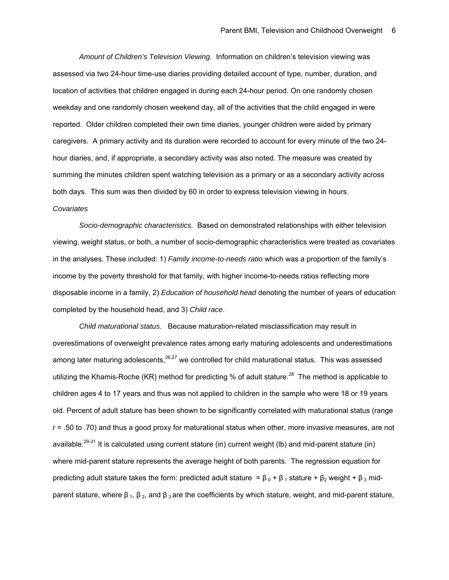*Amount of Children's Television Viewing.* Information on children's television viewing was assessed via two 24-hour time-use diaries providing detailed account of type, number, duration, and location of activities that children engaged in during each 24-hour period. On one randomly chosen weekday and one randomly chosen weekend day, all of the activities that the child engaged in were reported. Older children completed their own time diaries, younger children were aided by primary caregivers. A primary activity and its duration were recorded to account for every minute of the two 24 hour diaries, and, if appropriate, a secondary activity was also noted. The measure was created by summing the minutes children spent watching television as a primary or as a secondary activity across both days. This sum was then divided by 60 in order to express television viewing in hours. *Covariates* 

*Socio-demographic characteristics.* Based on demonstrated relationships with either television viewing, weight status, or both, a number of socio-demographic characteristics were treated as covariates in the analyses. These included: 1) *Family income-to-needs ratio* which was a proportion of the family's income by the poverty threshold for that family, with higher income-to-needs ratios reflecting more disposable income in a family, 2) *Education of household head* denoting the number of years of education completed by the household head, and 3) *Child race*.

*Child maturational status.* Because maturation-related misclassification may result in overestimations of overweight prevalence rates among early maturing adolescents and underestimations among later maturing adolescents,  $26.27$  we controlled for child maturational status. This was assessed utilizing the Khamis-Roche (KR) method for predicting % of adult stature.<sup>28</sup> The method is applicable to children ages 4 to 17 years and thus was not applied to children in the sample who were 18 or 19 years old. Percent of adult stature has been shown to be significantly correlated with maturational status (range *r* = .50 to .70) and thus a good proxy for maturational status when other, more invasive measures, are not available.<sup>29-31</sup> It is calculated using current stature (in) current weight (lb) and mid-parent stature (in) where mid-parent stature represents the average height of both parents. The regression equation for predicting adult stature takes the form: predicted adult stature =  $\beta_0 + \beta_1$  stature +  $\beta_2$  weight +  $\beta_3$  midparent stature, where  $β_1$ ,  $β_2$ , and  $β_3$  are the coefficients by which stature, weight, and mid-parent stature,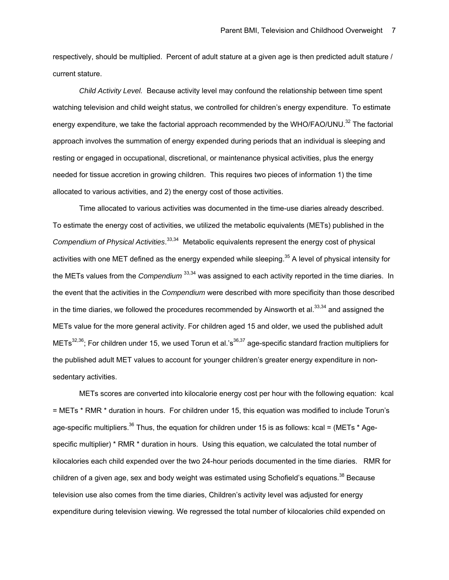respectively, should be multiplied. Percent of adult stature at a given age is then predicted adult stature / current stature.

 *Child Activity Level.* Because activity level may confound the relationship between time spent watching television and child weight status, we controlled for children's energy expenditure. To estimate energy expenditure, we take the factorial approach recommended by the WHO/FAO/UNU.<sup>32</sup> The factorial approach involves the summation of energy expended during periods that an individual is sleeping and resting or engaged in occupational, discretional, or maintenance physical activities, plus the energy needed for tissue accretion in growing children. This requires two pieces of information 1) the time allocated to various activities, and 2) the energy cost of those activities.

 Time allocated to various activities was documented in the time-use diaries already described. To estimate the energy cost of activities, we utilized the metabolic equivalents (METs) published in the Compendium of Physical Activities.<sup>33,34</sup> Metabolic equivalents represent the energy cost of physical activities with one MET defined as the energy expended while sleeping.<sup>35</sup> A level of physical intensity for the METs values from the *Compendium* 33,34 was assigned to each activity reported in the time diaries. In the event that the activities in the *Compendium* were described with more specificity than those described in the time diaries, we followed the procedures recommended by Ainsworth et al. $^{33,34}$  and assigned the METs value for the more general activity. For children aged 15 and older, we used the published adult METs<sup>32,36</sup>; For children under 15, we used Torun et al.'s<sup>36,37</sup> age-specific standard fraction multipliers for the published adult MET values to account for younger children's greater energy expenditure in nonsedentary activities.

 METs scores are converted into kilocalorie energy cost per hour with the following equation: kcal = METs \* RMR \* duration in hours. For children under 15, this equation was modified to include Torun's age-specific multipliers.<sup>36</sup> Thus, the equation for children under 15 is as follows: kcal = (METs  $*$  Agespecific multiplier) \* RMR \* duration in hours. Using this equation, we calculated the total number of kilocalories each child expended over the two 24-hour periods documented in the time diaries. RMR for children of a given age, sex and body weight was estimated using Schofield's equations.<sup>38</sup> Because television use also comes from the time diaries, Children's activity level was adjusted for energy expenditure during television viewing. We regressed the total number of kilocalories child expended on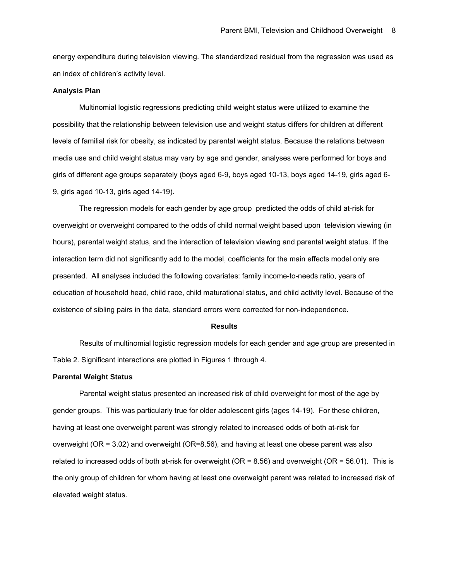energy expenditure during television viewing. The standardized residual from the regression was used as an index of children's activity level.

#### **Analysis Plan**

 Multinomial logistic regressions predicting child weight status were utilized to examine the possibility that the relationship between television use and weight status differs for children at different levels of familial risk for obesity, as indicated by parental weight status. Because the relations between media use and child weight status may vary by age and gender, analyses were performed for boys and girls of different age groups separately (boys aged 6-9, boys aged 10-13, boys aged 14-19, girls aged 6- 9, girls aged 10-13, girls aged 14-19).

 The regression models for each gender by age group predicted the odds of child at-risk for overweight or overweight compared to the odds of child normal weight based upon television viewing (in hours), parental weight status, and the interaction of television viewing and parental weight status. If the interaction term did not significantly add to the model, coefficients for the main effects model only are presented. All analyses included the following covariates: family income-to-needs ratio, years of education of household head, child race, child maturational status, and child activity level. Because of the existence of sibling pairs in the data, standard errors were corrected for non-independence.

#### **Results**

 Results of multinomial logistic regression models for each gender and age group are presented in Table 2. Significant interactions are plotted in Figures 1 through 4.

# **Parental Weight Status**

 Parental weight status presented an increased risk of child overweight for most of the age by gender groups. This was particularly true for older adolescent girls (ages 14-19). For these children, having at least one overweight parent was strongly related to increased odds of both at-risk for overweight (OR = 3.02) and overweight (OR=8.56), and having at least one obese parent was also related to increased odds of both at-risk for overweight (OR = 8.56) and overweight (OR = 56.01). This is the only group of children for whom having at least one overweight parent was related to increased risk of elevated weight status.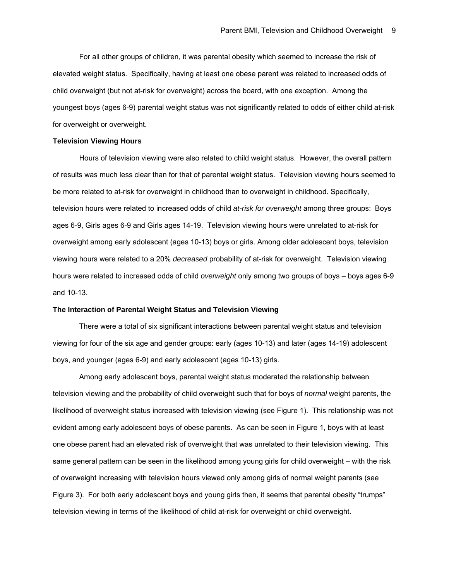For all other groups of children, it was parental obesity which seemed to increase the risk of elevated weight status. Specifically, having at least one obese parent was related to increased odds of child overweight (but not at-risk for overweight) across the board, with one exception. Among the youngest boys (ages 6-9) parental weight status was not significantly related to odds of either child at-risk for overweight or overweight.

### **Television Viewing Hours**

 Hours of television viewing were also related to child weight status. However, the overall pattern of results was much less clear than for that of parental weight status. Television viewing hours seemed to be more related to at-risk for overweight in childhood than to overweight in childhood. Specifically, television hours were related to increased odds of child *at-risk for overweight* among three groups: Boys ages 6-9, Girls ages 6-9 and Girls ages 14-19. Television viewing hours were unrelated to at-risk for overweight among early adolescent (ages 10-13) boys or girls. Among older adolescent boys, television viewing hours were related to a 20% *decreased* probability of at-risk for overweight. Television viewing hours were related to increased odds of child *overweight* only among two groups of boys – boys ages 6-9 and 10-13.

### **The Interaction of Parental Weight Status and Television Viewing**

 There were a total of six significant interactions between parental weight status and television viewing for four of the six age and gender groups: early (ages 10-13) and later (ages 14-19) adolescent boys, and younger (ages 6-9) and early adolescent (ages 10-13) girls.

 Among early adolescent boys, parental weight status moderated the relationship between television viewing and the probability of child overweight such that for boys of *normal* weight parents, the likelihood of overweight status increased with television viewing (see Figure 1). This relationship was not evident among early adolescent boys of obese parents. As can be seen in Figure 1, boys with at least one obese parent had an elevated risk of overweight that was unrelated to their television viewing. This same general pattern can be seen in the likelihood among young girls for child overweight – with the risk of overweight increasing with television hours viewed only among girls of normal weight parents (see Figure 3). For both early adolescent boys and young girls then, it seems that parental obesity "trumps" television viewing in terms of the likelihood of child at-risk for overweight or child overweight.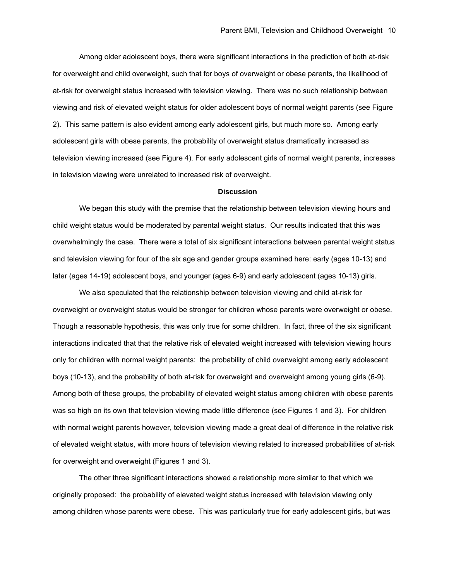Among older adolescent boys, there were significant interactions in the prediction of both at-risk for overweight and child overweight, such that for boys of overweight or obese parents, the likelihood of at-risk for overweight status increased with television viewing. There was no such relationship between viewing and risk of elevated weight status for older adolescent boys of normal weight parents (see Figure 2). This same pattern is also evident among early adolescent girls, but much more so. Among early adolescent girls with obese parents, the probability of overweight status dramatically increased as television viewing increased (see Figure 4). For early adolescent girls of normal weight parents, increases in television viewing were unrelated to increased risk of overweight.

### **Discussion**

 We began this study with the premise that the relationship between television viewing hours and child weight status would be moderated by parental weight status. Our results indicated that this was overwhelmingly the case. There were a total of six significant interactions between parental weight status and television viewing for four of the six age and gender groups examined here: early (ages 10-13) and later (ages 14-19) adolescent boys, and younger (ages 6-9) and early adolescent (ages 10-13) girls.

We also speculated that the relationship between television viewing and child at-risk for overweight or overweight status would be stronger for children whose parents were overweight or obese. Though a reasonable hypothesis, this was only true for some children. In fact, three of the six significant interactions indicated that that the relative risk of elevated weight increased with television viewing hours only for children with normal weight parents: the probability of child overweight among early adolescent boys (10-13), and the probability of both at-risk for overweight and overweight among young girls (6-9). Among both of these groups, the probability of elevated weight status among children with obese parents was so high on its own that television viewing made little difference (see Figures 1 and 3). For children with normal weight parents however, television viewing made a great deal of difference in the relative risk of elevated weight status, with more hours of television viewing related to increased probabilities of at-risk for overweight and overweight (Figures 1 and 3).

The other three significant interactions showed a relationship more similar to that which we originally proposed: the probability of elevated weight status increased with television viewing only among children whose parents were obese. This was particularly true for early adolescent girls, but was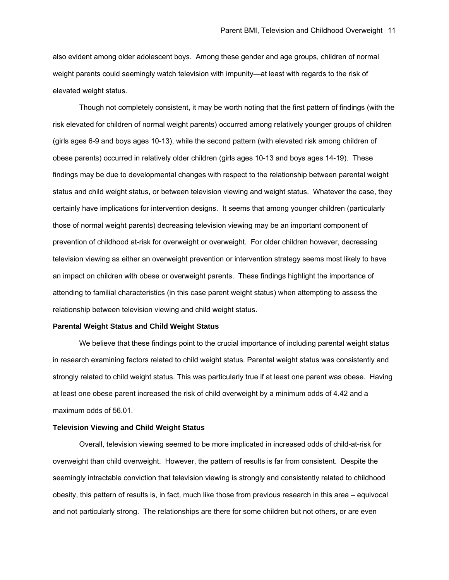also evident among older adolescent boys. Among these gender and age groups, children of normal weight parents could seemingly watch television with impunity—at least with regards to the risk of elevated weight status.

Though not completely consistent, it may be worth noting that the first pattern of findings (with the risk elevated for children of normal weight parents) occurred among relatively younger groups of children (girls ages 6-9 and boys ages 10-13), while the second pattern (with elevated risk among children of obese parents) occurred in relatively older children (girls ages 10-13 and boys ages 14-19). These findings may be due to developmental changes with respect to the relationship between parental weight status and child weight status, or between television viewing and weight status. Whatever the case, they certainly have implications for intervention designs. It seems that among younger children (particularly those of normal weight parents) decreasing television viewing may be an important component of prevention of childhood at-risk for overweight or overweight. For older children however, decreasing television viewing as either an overweight prevention or intervention strategy seems most likely to have an impact on children with obese or overweight parents. These findings highlight the importance of attending to familial characteristics (in this case parent weight status) when attempting to assess the relationship between television viewing and child weight status.

### **Parental Weight Status and Child Weight Status**

 We believe that these findings point to the crucial importance of including parental weight status in research examining factors related to child weight status. Parental weight status was consistently and strongly related to child weight status. This was particularly true if at least one parent was obese. Having at least one obese parent increased the risk of child overweight by a minimum odds of 4.42 and a maximum odds of 56.01.

# **Television Viewing and Child Weight Status**

 Overall, television viewing seemed to be more implicated in increased odds of child-at-risk for overweight than child overweight. However, the pattern of results is far from consistent. Despite the seemingly intractable conviction that television viewing is strongly and consistently related to childhood obesity, this pattern of results is, in fact, much like those from previous research in this area – equivocal and not particularly strong. The relationships are there for some children but not others, or are even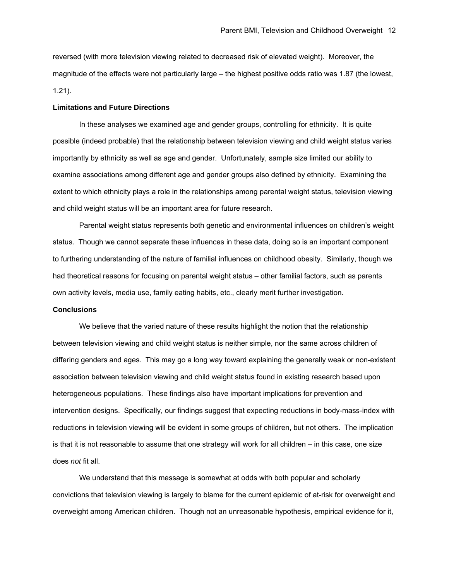reversed (with more television viewing related to decreased risk of elevated weight). Moreover, the magnitude of the effects were not particularly large – the highest positive odds ratio was 1.87 (the lowest, 1.21).

## **Limitations and Future Directions**

In these analyses we examined age and gender groups, controlling for ethnicity. It is quite possible (indeed probable) that the relationship between television viewing and child weight status varies importantly by ethnicity as well as age and gender. Unfortunately, sample size limited our ability to examine associations among different age and gender groups also defined by ethnicity. Examining the extent to which ethnicity plays a role in the relationships among parental weight status, television viewing and child weight status will be an important area for future research.

Parental weight status represents both genetic and environmental influences on children's weight status. Though we cannot separate these influences in these data, doing so is an important component to furthering understanding of the nature of familial influences on childhood obesity. Similarly, though we had theoretical reasons for focusing on parental weight status – other familial factors, such as parents own activity levels, media use, family eating habits, etc., clearly merit further investigation.

### **Conclusions**

 We believe that the varied nature of these results highlight the notion that the relationship between television viewing and child weight status is neither simple, nor the same across children of differing genders and ages. This may go a long way toward explaining the generally weak or non-existent association between television viewing and child weight status found in existing research based upon heterogeneous populations. These findings also have important implications for prevention and intervention designs. Specifically, our findings suggest that expecting reductions in body-mass-index with reductions in television viewing will be evident in some groups of children, but not others. The implication is that it is not reasonable to assume that one strategy will work for all children – in this case, one size does *not* fit all.

 We understand that this message is somewhat at odds with both popular and scholarly convictions that television viewing is largely to blame for the current epidemic of at-risk for overweight and overweight among American children. Though not an unreasonable hypothesis, empirical evidence for it,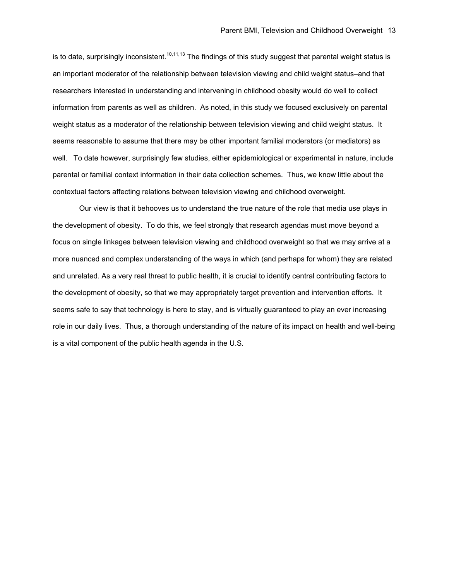is to date, surprisingly inconsistent.<sup>10,11,13</sup> The findings of this study suggest that parental weight status is an important moderator of the relationship between television viewing and child weight status–and that researchers interested in understanding and intervening in childhood obesity would do well to collect information from parents as well as children. As noted, in this study we focused exclusively on parental weight status as a moderator of the relationship between television viewing and child weight status. It seems reasonable to assume that there may be other important familial moderators (or mediators) as well. To date however, surprisingly few studies, either epidemiological or experimental in nature, include parental or familial context information in their data collection schemes. Thus, we know little about the contextual factors affecting relations between television viewing and childhood overweight.

 Our view is that it behooves us to understand the true nature of the role that media use plays in the development of obesity. To do this, we feel strongly that research agendas must move beyond a focus on single linkages between television viewing and childhood overweight so that we may arrive at a more nuanced and complex understanding of the ways in which (and perhaps for whom) they are related and unrelated. As a very real threat to public health, it is crucial to identify central contributing factors to the development of obesity, so that we may appropriately target prevention and intervention efforts. It seems safe to say that technology is here to stay, and is virtually guaranteed to play an ever increasing role in our daily lives. Thus, a thorough understanding of the nature of its impact on health and well-being is a vital component of the public health agenda in the U.S.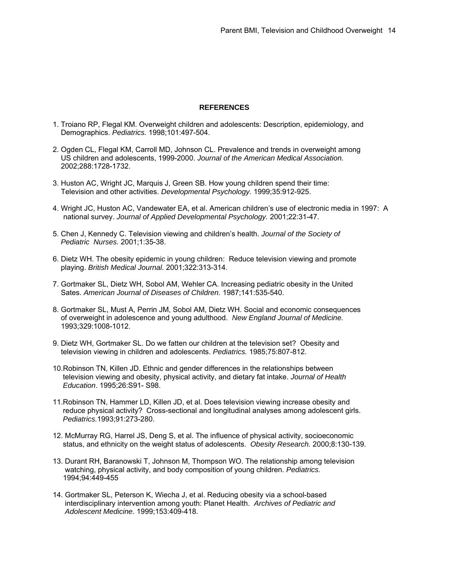# **REFERENCES**

- 1. Troiano RP, Flegal KM. Overweight children and adolescents: Description, epidemiology, and Demographics. *Pediatrics.* 1998;101:497-504.
- 2. Ogden CL, Flegal KM, Carroll MD, Johnson CL. Prevalence and trends in overweight among US children and adolescents, 1999-2000. *Journal of the American Medical Association.* 2002;288:1728-1732.
- 3. Huston AC, Wright JC, Marquis J, Green SB. How young children spend their time: Television and other activities. *Developmental Psychology.* 1999;35:912-925.
- 4. Wright JC, Huston AC, Vandewater EA, et al. American children's use of electronic media in 1997: A national survey. *Journal of Applied Developmental Psychology.* 2001;22:31-47.
- 5. Chen J, Kennedy C. Television viewing and children's health. *Journal of the Society of Pediatric Nurses.* 2001;1:35-38.
- 6. Dietz WH. The obesity epidemic in young children: Reduce television viewing and promote playing. *British Medical Journal.* 2001;322:313-314.
- 7. Gortmaker SL, Dietz WH, Sobol AM, Wehler CA. Increasing pediatric obesity in the United Sates. *American Journal of Diseases of Children.* 1987;141:535-540.
- 8. Gortmaker SL, Must A, Perrin JM, Sobol AM, Dietz WH. Social and economic consequences of overweight in adolescence and young adulthood. *New England Journal of Medicine.* 1993;329:1008-1012.
- 9. Dietz WH, Gortmaker SL. Do we fatten our children at the television set? Obesity and television viewing in children and adolescents. *Pediatrics.* 1985;75:807-812.
- 10.Robinson TN, Killen JD. Ethnic and gender differences in the relationships between television viewing and obesity, physical activity, and dietary fat intake. *Journal of Health Education*. 1995;26:S91- S98.
- 11.Robinson TN, Hammer LD, Killen JD, et al. Does television viewing increase obesity and reduce physical activity? Cross-sectional and longitudinal analyses among adolescent girls. *Pediatrics.*1993;91:273-280.
- 12. McMurray RG, Harrel JS, Deng S, et al. The influence of physical activity, socioeconomic status, and ethnicity on the weight status of adolescents. *Obesity Research.* 2000;8:130-139.
- 13. Durant RH, Baranowski T, Johnson M, Thompson WO. The relationship among television watching, physical activity, and body composition of young children. *Pediatrics.* 1994;94:449-455
- 14. Gortmaker SL, Peterson K, Wiecha J, et al. Reducing obesity via a school-based interdisciplinary intervention among youth: Planet Health. *Archives of Pediatric and Adolescent Medicine.* 1999;153:409-418.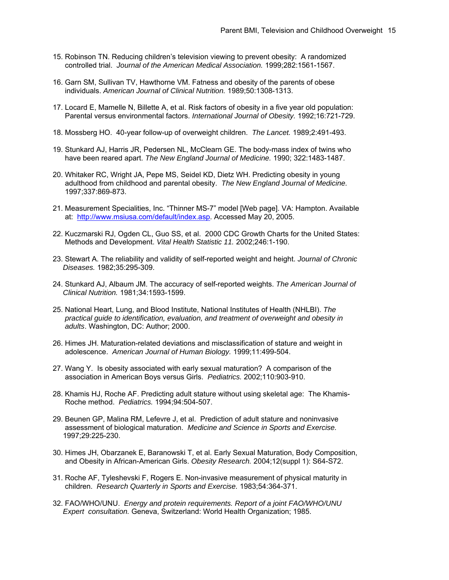- 15. Robinson TN. Reducing children's television viewing to prevent obesity: A randomized controlled trial. *Journal of the American Medical Association.* 1999;282:1561-1567.
- 16. Garn SM, Sullivan TV, Hawthorne VM. Fatness and obesity of the parents of obese individuals. *American Journal of Clinical Nutrition.* 1989;50:1308-1313.
- 17. Locard E, Mamelle N, Billette A, et al. Risk factors of obesity in a five year old population: Parental versus environmental factors. *International Journal of Obesity.* 1992;16:721-729.
- 18. Mossberg HO. 40-year follow-up of overweight children. *The Lancet.* 1989;2:491-493.
- 19. Stunkard AJ, Harris JR, Pedersen NL, McClearn GE. The body-mass index of twins who have been reared apart. *The New England Journal of Medicine.* 1990; 322:1483-1487.
- 20. Whitaker RC, Wright JA, Pepe MS, Seidel KD, Dietz WH. Predicting obesity in young adulthood from childhood and parental obesity. *The New England Journal of Medicine.* 1997;337:869-873.
- 21. Measurement Specialities, Inc. "Thinner MS-7" model [Web page]. VA: Hampton. Available at: [http://www.msiusa.com/default/index.asp.](http://www.msiusa.com/default/index.asp) Accessed May 20, 2005.
- 22. Kuczmarski RJ, Ogden CL, Guo SS, et al. 2000 CDC Growth Charts for the United States: Methods and Development. *Vital Health Statistic 11.* 2002;246:1-190.
- 23. Stewart A. The reliability and validity of self-reported weight and height. *Journal of Chronic Diseases.* 1982;35:295-309.
- 24. Stunkard AJ, Albaum JM. The accuracy of self-reported weights. *The American Journal of Clinical Nutrition.* 1981;34:1593-1599.
- 25. National Heart, Lung, and Blood Institute, National Institutes of Health (NHLBI). *The practical guide to identification, evaluation, and treatment of overweight and obesity in adults*. Washington, DC: Author; 2000.
- 26. Himes JH. Maturation-related deviations and misclassification of stature and weight in adolescence. *American Journal of Human Biology.* 1999;11:499-504.
- 27. Wang Y. Is obesity associated with early sexual maturation? A comparison of the association in American Boys versus Girls. *Pediatrics.* 2002;110:903-910.
- 28. Khamis HJ, Roche AF. Predicting adult stature without using skeletal age: The Khamis- Roche method. *Pediatrics.* 1994;94:504-507.
- 29. Beunen GP, Malina RM, Lefevre J, et al. Prediction of adult stature and noninvasive assessment of biological maturation. *Medicine and Science in Sports and Exercise.* 1997;29:225-230.
- 30. Himes JH, Obarzanek E, Baranowski T, et al. Early Sexual Maturation, Body Composition, and Obesity in African-American Girls. *Obesity Research.* 2004;12(suppl 1): S64-S72.
- 31. Roche AF, Tyleshevski F, Rogers E. Non-invasive measurement of physical maturity in children. *Research Quarterly in Sports and Exercise.* 1983;54:364-371.
- 32. FAO/WHO/UNU. *Energy and protein requirements. Report of a joint FAO/WHO/UNU Expert consultation.* Geneva, Switzerland: World Health Organization; 1985.